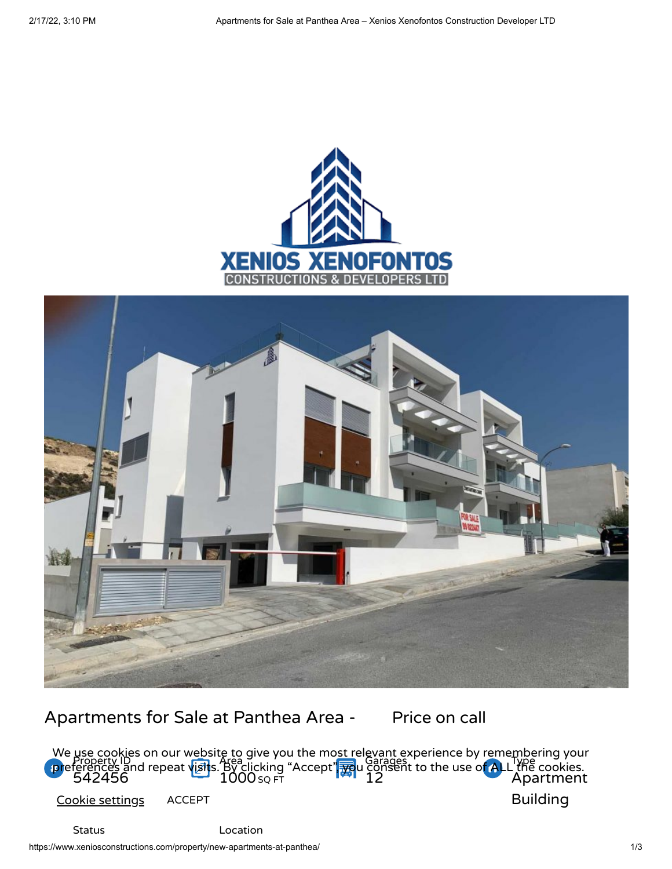



# Apartments for Sale at Panthea Area - Price on call

Property ID 542456 Area 1000 SQ FT Garages 12 Type Apartment Building We <u>use co</u>okies on our website to give you the mo<u>st r</u>elevant experience by remembering your  $\mathbf{p}$ references and repeat visits. By clicking "Accept",  $\mathbf{p}$ u consent to the use of ALL the cookies. Cookie settings ACCEPT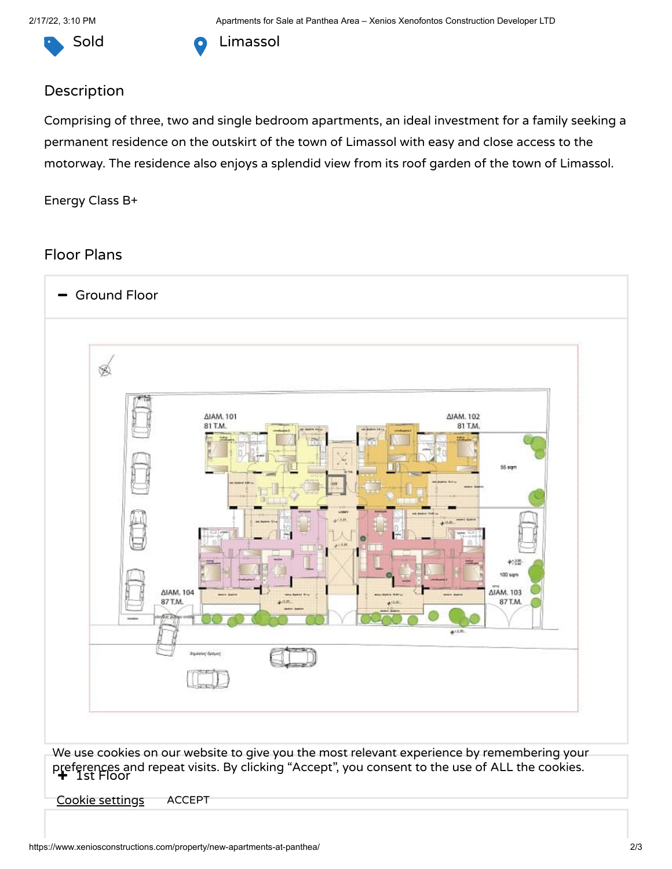

Sold **O** Limassol

## Description

Comprising of three, two and single bedroom apartments, an ideal investment for a family seeking a permanent residence on the outskirt of the town of Limassol with easy and close access to the motorway. The residence also enjoys a splendid view from its roof garden of the town of Limassol.

#### Energy Class B+

### Floor Plans



preferences and repeat visits. By clicking "Accept", you consent to the use of ALL the cookies.<br>+ Ist Floor

Cookie settings ACCEPT